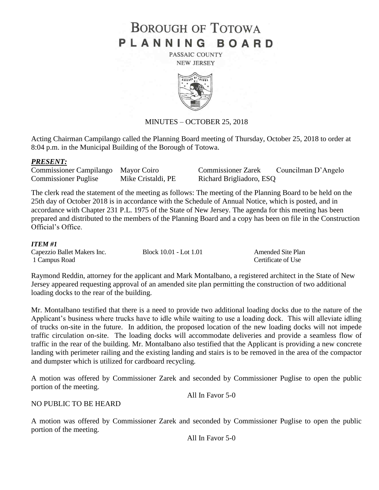# **BOROUGH OF TOTOWA** PLANNING BOARD

PASSAIC COUNTY **NEW JERSEY** 



# MINUTES – OCTOBER 25, 2018

Acting Chairman Campilango called the Planning Board meeting of Thursday, October 25, 2018 to order at 8:04 p.m. in the Municipal Building of the Borough of Totowa.

#### *PRESENT:*

Commissioner Puglise Mike Cristaldi, PE Richard Brigliadoro, ESQ

Commissioner Campilango Mayor Coiro Commissioner Zarek Councilman D'Angelo

The clerk read the statement of the meeting as follows: The meeting of the Planning Board to be held on the 25th day of October 2018 is in accordance with the Schedule of Annual Notice, which is posted, and in accordance with Chapter 231 P.L. 1975 of the State of New Jersey. The agenda for this meeting has been prepared and distributed to the members of the Planning Board and a copy has been on file in the Construction Official's Office.

#### *ITEM #1*

Capezzio Ballet Makers Inc. Block 10.01 - Lot 1.01 Amended Site Plan 1 Campus Road Certificate of Use

Raymond Reddin, attorney for the applicant and Mark Montalbano, a registered architect in the State of New Jersey appeared requesting approval of an amended site plan permitting the construction of two additional loading docks to the rear of the building.

Mr. Montalbano testified that there is a need to provide two additional loading docks due to the nature of the Applicant's business where trucks have to idle while waiting to use a loading dock. This will alleviate idling of trucks on-site in the future. In addition, the proposed location of the new loading docks will not impede traffic circulation on-site. The loading docks will accommodate deliveries and provide a seamless flow of traffic in the rear of the building. Mr. Montalbano also testified that the Applicant is providing a new concrete landing with perimeter railing and the existing landing and stairs is to be removed in the area of the compactor and dumpster which is utilized for cardboard recycling.

A motion was offered by Commissioner Zarek and seconded by Commissioner Puglise to open the public portion of the meeting.

All In Favor 5-0

NO PUBLIC TO BE HEARD

A motion was offered by Commissioner Zarek and seconded by Commissioner Puglise to open the public portion of the meeting.

All In Favor 5-0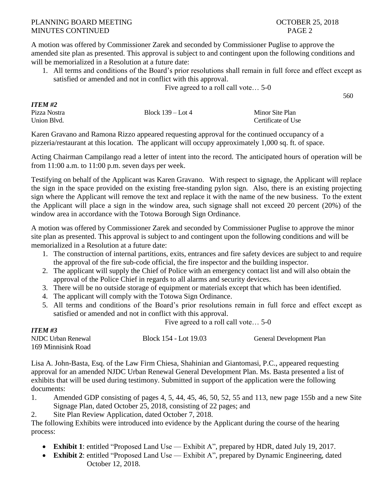A motion was offered by Commissioner Zarek and seconded by Commissioner Puglise to approve the amended site plan as presented. This approval is subject to and contingent upon the following conditions and will be memorialized in a Resolution at a future date:

1. All terms and conditions of the Board's prior resolutions shall remain in full force and effect except as satisfied or amended and not in conflict with this approval.

Five agreed to a roll call vote… 5-0

560

| <b>ITEM #2</b> |                     |                    |
|----------------|---------------------|--------------------|
| Pizza Nostra   | Block $139 -$ Lot 4 | Minor Site Plan    |
| Union Blvd.    |                     | Certificate of Use |

Karen Gravano and Ramona Rizzo appeared requesting approval for the continued occupancy of a pizzeria/restaurant at this location. The applicant will occupy approximately 1,000 sq. ft. of space.

Acting Chairman Campilango read a letter of intent into the record. The anticipated hours of operation will be from 11:00 a.m. to 11:00 p.m. seven days per week.

Testifying on behalf of the Applicant was Karen Gravano. With respect to signage, the Applicant will replace the sign in the space provided on the existing free-standing pylon sign. Also, there is an existing projecting sign where the Applicant will remove the text and replace it with the name of the new business. To the extent the Applicant will place a sign in the window area, such signage shall not exceed 20 percent (20%) of the window area in accordance with the Totowa Borough Sign Ordinance.

A motion was offered by Commissioner Zarek and seconded by Commissioner Puglise to approve the minor site plan as presented. This approval is subject to and contingent upon the following conditions and will be memorialized in a Resolution at a future date:

- 1. The construction of internal partitions, exits, entrances and fire safety devices are subject to and require the approval of the fire sub-code official, the fire inspector and the building inspector.
- 2. The applicant will supply the Chief of Police with an emergency contact list and will also obtain the approval of the Police Chief in regards to all alarms and security devices.
- 3. There will be no outside storage of equipment or materials except that which has been identified.
- 4. The applicant will comply with the Totowa Sign Ordinance.
- 5. All terms and conditions of the Board's prior resolutions remain in full force and effect except as satisfied or amended and not in conflict with this approval.

Five agreed to a roll call vote… 5-0

| 11 LW TJ           |                       |                          |
|--------------------|-----------------------|--------------------------|
| NJDC Urban Renewal | Block 154 - Lot 19.03 | General Development Plan |
| 169 Minnisink Road |                       |                          |

Lisa A. John-Basta, Esq. of the Law Firm Chiesa, Shahinian and Giantomasi, P.C., appeared requesting approval for an amended NJDC Urban Renewal General Development Plan. Ms. Basta presented a list of exhibits that will be used during testimony. Submitted in support of the application were the following documents:

1. Amended GDP consisting of pages 4, 5, 44, 45, 46, 50, 52, 55 and 113, new page 155b and a new Site Signage Plan, dated October 25, 2018, consisting of 22 pages; and

2. Site Plan Review Application, dated October 7, 2018.

*ITEM #3*

The following Exhibits were introduced into evidence by the Applicant during the course of the hearing process:

- **Exhibit 1**: entitled "Proposed Land Use Exhibit A", prepared by HDR, dated July 19, 2017.
- **Exhibit 2**: entitled "Proposed Land Use Exhibit A", prepared by Dynamic Engineering, dated October 12, 2018.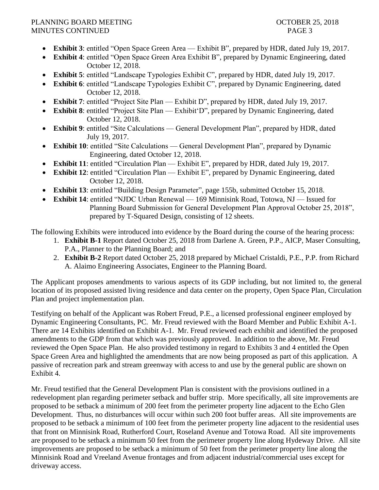# PLANNING BOARD MEETING THE SECOND OCTOBER 25, 2018 MINUTES CONTINUED PAGE 3

- **Exhibit 3**: entitled "Open Space Green Area Exhibit B", prepared by HDR, dated July 19, 2017.
- **Exhibit 4**: entitled "Open Space Green Area Exhibit B", prepared by Dynamic Engineering, dated October 12, 2018.
- **Exhibit 5**: entitled "Landscape Typologies Exhibit C", prepared by HDR, dated July 19, 2017.
- **Exhibit 6**: entitled "Landscape Typologies Exhibit C", prepared by Dynamic Engineering, dated October 12, 2018.
- **Exhibit 7**: entitled "Project Site Plan Exhibit D", prepared by HDR, dated July 19, 2017.
- **Exhibit 8**: entitled "Project Site Plan Exhibit'D", prepared by Dynamic Engineering, dated October 12, 2018.
- **Exhibit 9**: entitled "Site Calculations General Development Plan", prepared by HDR, dated July 19, 2017.
- **Exhibit 10**: entitled "Site Calculations General Development Plan", prepared by Dynamic Engineering, dated October 12, 2018.
- **Exhibit 11**: entitled "Circulation Plan Exhibit E", prepared by HDR, dated July 19, 2017.
- **Exhibit 12**: entitled "Circulation Plan Exhibit E", prepared by Dynamic Engineering, dated October 12, 2018.
- **Exhibit 13**: entitled "Building Design Parameter", page 155b, submitted October 15, 2018.
- **Exhibit 14**: entitled "NJDC Urban Renewal 169 Minnisink Road, Totowa, NJ Issued for Planning Board Submission for General Development Plan Approval October 25, 2018", prepared by T-Squared Design, consisting of 12 sheets.

The following Exhibits were introduced into evidence by the Board during the course of the hearing process:

- 1. **Exhibit B-1** Report dated October 25, 2018 from Darlene A. Green, P.P., AICP, Maser Consulting, P.A., Planner to the Planning Board; and
- 2. **Exhibit B-2** Report dated October 25, 2018 prepared by Michael Cristaldi, P.E., P.P. from Richard A. Alaimo Engineering Associates, Engineer to the Planning Board.

The Applicant proposes amendments to various aspects of its GDP including, but not limited to, the general location of its proposed assisted living residence and data center on the property, Open Space Plan, Circulation Plan and project implementation plan.

Testifying on behalf of the Applicant was Robert Freud, P.E., a licensed professional engineer employed by Dynamic Engineering Consultants, PC. Mr. Freud reviewed with the Board Member and Public Exhibit A-1. There are 14 Exhibits identified on Exhibit A-1. Mr. Freud reviewed each exhibit and identified the proposed amendments to the GDP from that which was previously approved. In addition to the above, Mr. Freud reviewed the Open Space Plan. He also provided testimony in regard to Exhibits 3 and 4 entitled the Open Space Green Area and highlighted the amendments that are now being proposed as part of this application. A passive of recreation park and stream greenway with access to and use by the general public are shown on Exhibit 4.

Mr. Freud testified that the General Development Plan is consistent with the provisions outlined in a redevelopment plan regarding perimeter setback and buffer strip. More specifically, all site improvements are proposed to be setback a minimum of 200 feet from the perimeter property line adjacent to the Echo Glen Development. Thus, no disturbances will occur within such 200 foot buffer areas. All site improvements are proposed to be setback a minimum of 100 feet from the perimeter property line adjacent to the residential uses that front on Minnisink Road, Rutherford Court, Roseland Avenue and Totowa Road. All site improvements are proposed to be setback a minimum 50 feet from the perimeter property line along Hydeway Drive. All site improvements are proposed to be setback a minimum of 50 feet from the perimeter property line along the Minnisink Road and Vreeland Avenue frontages and from adjacent industrial/commercial uses except for driveway access.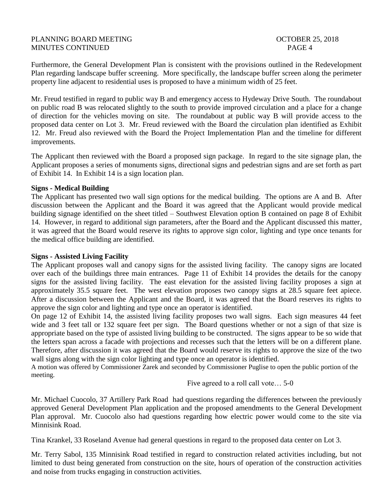# PLANNING BOARD MEETING **DEEPING COLLEGE 25, 2018** MINUTES CONTINUED PAGE 4

Furthermore, the General Development Plan is consistent with the provisions outlined in the Redevelopment Plan regarding landscape buffer screening. More specifically, the landscape buffer screen along the perimeter property line adjacent to residential uses is proposed to have a minimum width of 25 feet.

Mr. Freud testified in regard to public way B and emergency access to Hydeway Drive South. The roundabout on public road B was relocated slightly to the south to provide improved circulation and a place for a change of direction for the vehicles moving on site. The roundabout at public way B will provide access to the proposed data center on Lot 3. Mr. Freud reviewed with the Board the circulation plan identified as Exhibit 12. Mr. Freud also reviewed with the Board the Project Implementation Plan and the timeline for different improvements.

The Applicant then reviewed with the Board a proposed sign package. In regard to the site signage plan, the Applicant proposes a series of monuments signs, directional signs and pedestrian signs and are set forth as part of Exhibit 14. In Exhibit 14 is a sign location plan.

#### **Signs - Medical Building**

The Applicant has presented two wall sign options for the medical building. The options are A and B. After discussion between the Applicant and the Board it was agreed that the Applicant would provide medical building signage identified on the sheet titled – Southwest Elevation option B contained on page 8 of Exhibit 14. However, in regard to additional sign parameters, after the Board and the Applicant discussed this matter, it was agreed that the Board would reserve its rights to approve sign color, lighting and type once tenants for the medical office building are identified.

# **Signs - Assisted Living Facility**

The Applicant proposes wall and canopy signs for the assisted living facility. The canopy signs are located over each of the buildings three main entrances. Page 11 of Exhibit 14 provides the details for the canopy signs for the assisted living facility. The east elevation for the assisted living facility proposes a sign at approximately 35.5 square feet. The west elevation proposes two canopy signs at 28.5 square feet apiece. After a discussion between the Applicant and the Board, it was agreed that the Board reserves its rights to approve the sign color and lighting and type once an operator is identified.

On page 12 of Exhibit 14, the assisted living facility proposes two wall signs. Each sign measures 44 feet wide and 3 feet tall or 132 square feet per sign. The Board questions whether or not a sign of that size is appropriate based on the type of assisted living building to be constructed. The signs appear to be so wide that the letters span across a facade with projections and recesses such that the letters will be on a different plane. Therefore, after discussion it was agreed that the Board would reserve its rights to approve the size of the two wall signs along with the sign color lighting and type once an operator is identified.

A motion was offered by Commissioner Zarek and seconded by Commissioner Puglise to open the public portion of the meeting.

Five agreed to a roll call vote… 5-0

Mr. Michael Cuocolo, 37 Artillery Park Road had questions regarding the differences between the previously approved General Development Plan application and the proposed amendments to the General Development Plan approval. Mr. Cuocolo also had questions regarding how electric power would come to the site via Minnisink Road.

Tina Krankel, 33 Roseland Avenue had general questions in regard to the proposed data center on Lot 3.

Mr. Terry Sabol, 135 Minnisink Road testified in regard to construction related activities including, but not limited to dust being generated from construction on the site, hours of operation of the construction activities and noise from trucks engaging in construction activities.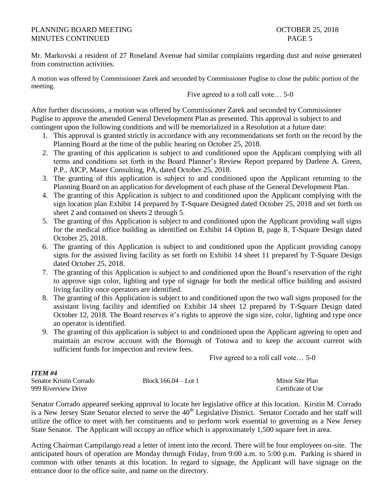### PLANNING BOARD MEETING THE SECOND OCTOBER 25, 2018 MINUTES CONTINUED **PAGE 5**

Mr. Markovski a resident of 27 Roseland Avenue had similar complaints regarding dust and noise generated from construction activities.

A motion was offered by Commissioner Zarek and seconded by Commissioner Puglise to close the public portion of the meeting.

Five agreed to a roll call vote… 5-0

After further discussions, a motion was offered by Commissioner Zarek and seconded by Commissioner Puglise to approve the amended General Development Plan as presented. This approval is subject to and contingent upon the following conditions and will be memorialized in a Resolution at a future date:

- 1. This approval is granted strictly in accordance with any recommendations set forth on the record by the Planning Board at the time of the public hearing on October 25, 2018.
- 2. The granting of this application is subject to and conditioned upon the Applicant complying with all terms and conditions set forth in the Board Planner's Review Report prepared by Darlene A. Green, P.P., AICP, Maser Consulting, PA, dated October 25, 2018.
- 3. The granting of this application is subject to and conditioned upon the Applicant returning to the Planning Board on an application for development of each phase of the General Development Plan.
- 4. The granting of this Application is subject to and conditioned upon the Applicant complying with the sign location plan Exhibit 14 prepared by T-Square Designed dated October 25, 2018 and set forth on sheet 2 and contained on sheets 2 through 5.
- 5. The granting of this Application is subject to and conditioned upon the Applicant providing wall signs for the medical office building as identified on Exhibit 14 Option B, page 8, T-Square Design dated October 25, 2018.
- 6. The granting of this Application is subject to and conditioned upon the Applicant providing canopy signs for the assisted living facility as set forth on Exhibit 14 sheet 11 prepared by T-Square Design dated October 25, 2018.
- 7. The granting of this Application is subject to and conditioned upon the Board's reservation of the right to approve sign color, lighting and type of signage for both the medical office building and assisted living facility once operators are identified.
- 8. The granting of this Application is subject to and conditioned upon the two wall signs proposed for the assistant living facility and identified on Exhibit 14 sheet 12 prepared by T-Square Design dated October 12, 2018. The Board reserves it's rights to approve the sign size, color, lighting and type once an operator is identified.
- 9. The granting of this application is subject to and conditioned upon the Applicant agreeing to open and maintain an escrow account with the Borough of Totowa and to keep the account current with sufficient funds for inspection and review fees.

Five agreed to a roll call vote… 5-0

# *ITEM #4*

| Senator Kristin Corrado | Block $166.04 -$ Lot 1 | Minor Site Plan    |
|-------------------------|------------------------|--------------------|
| 999 Riverview Drive     |                        | Certificate of Use |

Senator Corrado appeared seeking approval to locate her legislative office at this location. Kirstin M. Corrado is a New Jersey State Senator elected to serve the  $40<sup>th</sup>$  Legislative District. Senator Corrado and her staff will utilize the office to meet with her constituents and to perform work essential to governing as a New Jersey State Senator. The Applicant will occupy an office which is approximately 1,500 square feet in area.

Acting Chairman Campilango read a letter of intent into the record. There will be four employees on-site. The anticipated hours of operation are Monday through Friday, from 9:00 a.m. to 5:00 p.m. Parking is shared in common with other tenants at this location. In regard to signage, the Applicant will have signage on the entrance door to the office suite, and name on the directory.